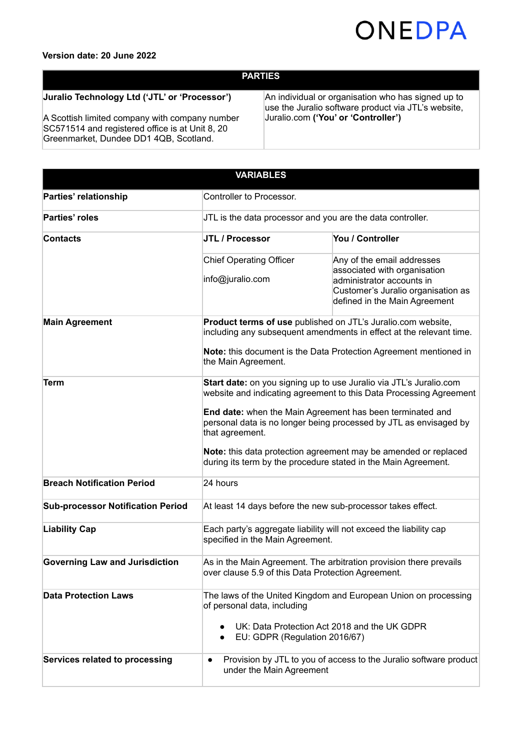

### **Version date: 20 June 2022**

# **PARTIES**

## **Juralio Technology Ltd ('JTL' or 'Processor')**

A Scottish limited company with company number SC571514 and registered office is at Unit 8, 20 Greenmarket, Dundee DD1 4QB, Scotland.

An individual or organisation who has signed up to use the Juralio software product via JTL's website, Juralio.com **('You' or 'Controller')**

| <b>VARIABLES</b>                         |                                                                                                                                                                                                                                                                            |                                                                                                                                                                |
|------------------------------------------|----------------------------------------------------------------------------------------------------------------------------------------------------------------------------------------------------------------------------------------------------------------------------|----------------------------------------------------------------------------------------------------------------------------------------------------------------|
| Parties' relationship                    | Controller to Processor.                                                                                                                                                                                                                                                   |                                                                                                                                                                |
| Parties' roles                           | JTL is the data processor and you are the data controller.                                                                                                                                                                                                                 |                                                                                                                                                                |
| <b>Contacts</b>                          | JTL / Processor                                                                                                                                                                                                                                                            | You / Controller                                                                                                                                               |
|                                          | <b>Chief Operating Officer</b><br>info@juralio.com                                                                                                                                                                                                                         | Any of the email addresses<br>associated with organisation<br>administrator accounts in<br>Customer's Juralio organisation as<br>defined in the Main Agreement |
| <b>Main Agreement</b>                    | Product terms of use published on JTL's Juralio.com website,<br>including any subsequent amendments in effect at the relevant time.<br>Note: this document is the Data Protection Agreement mentioned in                                                                   |                                                                                                                                                                |
|                                          | the Main Agreement.                                                                                                                                                                                                                                                        |                                                                                                                                                                |
| Term                                     | Start date: on you signing up to use Juralio via JTL's Juralio.com<br>website and indicating agreement to this Data Processing Agreement<br>End date: when the Main Agreement has been terminated and<br>personal data is no longer being processed by JTL as envisaged by |                                                                                                                                                                |
|                                          | that agreement.<br>during its term by the procedure stated in the Main Agreement.                                                                                                                                                                                          | Note: this data protection agreement may be amended or replaced                                                                                                |
| <b>Breach Notification Period</b>        | 24 hours                                                                                                                                                                                                                                                                   |                                                                                                                                                                |
| <b>Sub-processor Notification Period</b> | At least 14 days before the new sub-processor takes effect.                                                                                                                                                                                                                |                                                                                                                                                                |
| <b>Liability Cap</b>                     | Each party's aggregate liability will not exceed the liability cap<br>specified in the Main Agreement.                                                                                                                                                                     |                                                                                                                                                                |
| <b>Governing Law and Jurisdiction</b>    | over clause 5.9 of this Data Protection Agreement.                                                                                                                                                                                                                         | As in the Main Agreement. The arbitration provision there prevails                                                                                             |
| <b>Data Protection Laws</b>              | of personal data, including<br>EU: GDPR (Regulation 2016/67)                                                                                                                                                                                                               | The laws of the United Kingdom and European Union on processing<br>UK: Data Protection Act 2018 and the UK GDPR                                                |
| Services related to processing           | $\bullet$<br>under the Main Agreement                                                                                                                                                                                                                                      | Provision by JTL to you of access to the Juralio software product                                                                                              |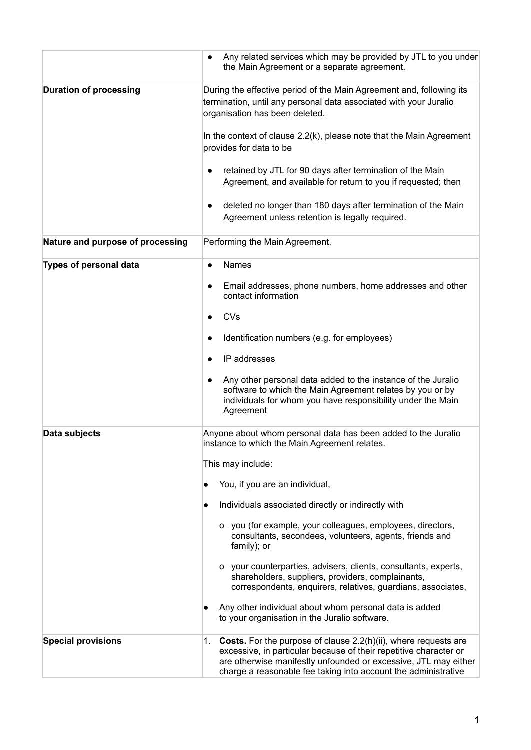|                                  | Any related services which may be provided by JTL to you under<br>$\bullet$<br>the Main Agreement or a separate agreement.                                                                                                                                                             |
|----------------------------------|----------------------------------------------------------------------------------------------------------------------------------------------------------------------------------------------------------------------------------------------------------------------------------------|
| <b>Duration of processing</b>    | During the effective period of the Main Agreement and, following its<br>termination, until any personal data associated with your Juralio<br>organisation has been deleted.                                                                                                            |
|                                  | In the context of clause 2.2(k), please note that the Main Agreement<br>provides for data to be                                                                                                                                                                                        |
|                                  | retained by JTL for 90 days after termination of the Main<br>$\bullet$<br>Agreement, and available for return to you if requested; then                                                                                                                                                |
|                                  | deleted no longer than 180 days after termination of the Main<br>Agreement unless retention is legally required.                                                                                                                                                                       |
| Nature and purpose of processing | Performing the Main Agreement.                                                                                                                                                                                                                                                         |
| Types of personal data           | <b>Names</b><br>$\bullet$                                                                                                                                                                                                                                                              |
|                                  | Email addresses, phone numbers, home addresses and other<br>$\bullet$<br>contact information                                                                                                                                                                                           |
|                                  | CVs                                                                                                                                                                                                                                                                                    |
|                                  | Identification numbers (e.g. for employees)<br>$\bullet$                                                                                                                                                                                                                               |
|                                  | IP addresses                                                                                                                                                                                                                                                                           |
|                                  | Any other personal data added to the instance of the Juralio<br>$\bullet$<br>software to which the Main Agreement relates by you or by<br>individuals for whom you have responsibility under the Main<br>Agreement                                                                     |
| Data subjects                    | Anyone about whom personal data has been added to the Juralio<br>instance to which the Main Agreement relates.                                                                                                                                                                         |
|                                  | This may include:                                                                                                                                                                                                                                                                      |
|                                  | You, if you are an individual,                                                                                                                                                                                                                                                         |
|                                  | Individuals associated directly or indirectly with<br>$\bullet$                                                                                                                                                                                                                        |
|                                  | o you (for example, your colleagues, employees, directors,<br>consultants, secondees, volunteers, agents, friends and<br>family); or                                                                                                                                                   |
|                                  | o your counterparties, advisers, clients, consultants, experts,<br>shareholders, suppliers, providers, complainants,<br>correspondents, enquirers, relatives, guardians, associates,                                                                                                   |
|                                  | Any other individual about whom personal data is added<br>to your organisation in the Juralio software.                                                                                                                                                                                |
| <b>Special provisions</b>        | <b>Costs.</b> For the purpose of clause 2.2(h)(ii), where requests are<br>1.<br>excessive, in particular because of their repetitive character or<br>are otherwise manifestly unfounded or excessive, JTL may either<br>charge a reasonable fee taking into account the administrative |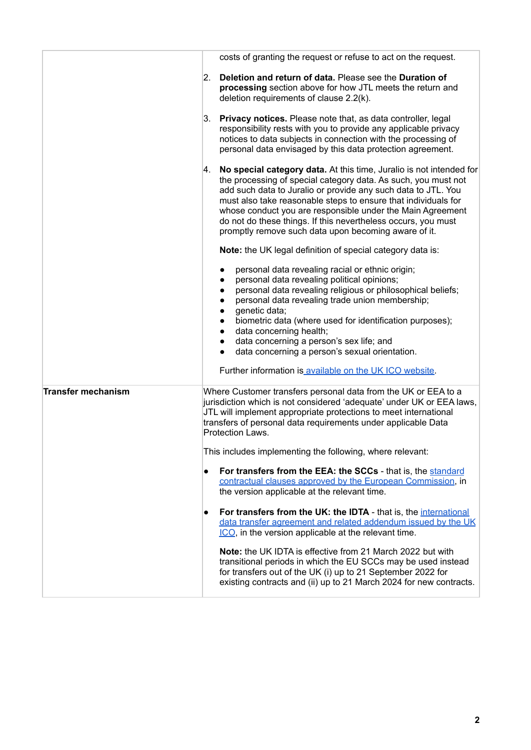|                           | costs of granting the request or refuse to act on the request.                                                                                                                                                                                                                                                                                                                                                                                                              |
|---------------------------|-----------------------------------------------------------------------------------------------------------------------------------------------------------------------------------------------------------------------------------------------------------------------------------------------------------------------------------------------------------------------------------------------------------------------------------------------------------------------------|
|                           | Deletion and return of data. Please see the Duration of<br>2.<br>processing section above for how JTL meets the return and<br>deletion requirements of clause 2.2(k).                                                                                                                                                                                                                                                                                                       |
|                           | 3.<br><b>Privacy notices.</b> Please note that, as data controller, legal<br>responsibility rests with you to provide any applicable privacy<br>notices to data subjects in connection with the processing of<br>personal data envisaged by this data protection agreement.                                                                                                                                                                                                 |
|                           | 4. No special category data. At this time, Juralio is not intended for<br>the processing of special category data. As such, you must not<br>add such data to Juralio or provide any such data to JTL. You<br>must also take reasonable steps to ensure that individuals for<br>whose conduct you are responsible under the Main Agreement<br>do not do these things. If this nevertheless occurs, you must<br>promptly remove such data upon becoming aware of it.          |
|                           | Note: the UK legal definition of special category data is:                                                                                                                                                                                                                                                                                                                                                                                                                  |
|                           | personal data revealing racial or ethnic origin;<br>personal data revealing political opinions;<br>$\bullet$<br>personal data revealing religious or philosophical beliefs;<br>$\bullet$<br>personal data revealing trade union membership;<br>$\bullet$<br>genetic data;<br>$\bullet$<br>biometric data (where used for identification purposes);<br>data concerning health;<br>data concerning a person's sex life; and<br>data concerning a person's sexual orientation. |
|                           | Further information is available on the UK ICO website.                                                                                                                                                                                                                                                                                                                                                                                                                     |
| <b>Transfer mechanism</b> | Where Customer transfers personal data from the UK or EEA to a<br>jurisdiction which is not considered 'adequate' under UK or EEA laws,<br>JTL will implement appropriate protections to meet international<br>transfers of personal data requirements under applicable Data<br><b>Protection Laws.</b>                                                                                                                                                                     |
|                           | This includes implementing the following, where relevant:                                                                                                                                                                                                                                                                                                                                                                                                                   |
|                           | For transfers from the EEA: the SCCs - that is, the standard<br>contractual clauses approved by the European Commission, in<br>the version applicable at the relevant time.                                                                                                                                                                                                                                                                                                 |
|                           | For transfers from the UK: the IDTA - that is, the international<br>data transfer agreement and related addendum issued by the UK<br>ICO, in the version applicable at the relevant time.                                                                                                                                                                                                                                                                                   |
|                           | Note: the UK IDTA is effective from 21 March 2022 but with<br>transitional periods in which the EU SCCs may be used instead<br>for transfers out of the UK (i) up to 21 September 2022 for<br>existing contracts and (ii) up to 21 March 2024 for new contracts.                                                                                                                                                                                                            |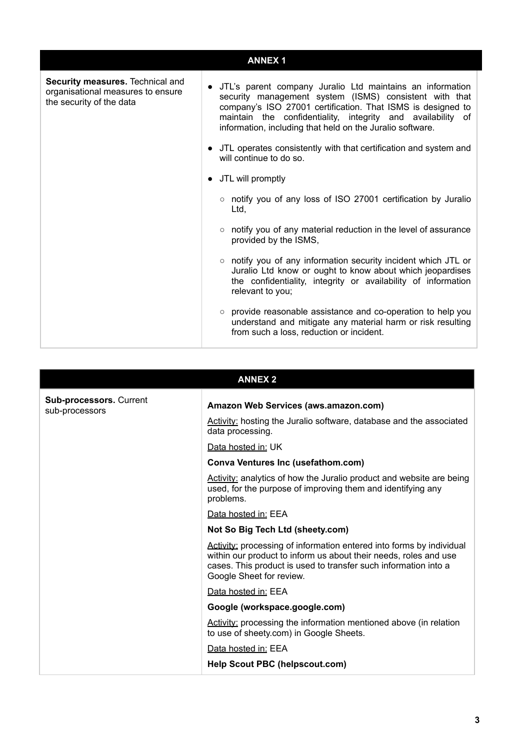|                                                                                                   | <b>ANNEX1</b>                                                                                                                                                                                                                                                                                                    |
|---------------------------------------------------------------------------------------------------|------------------------------------------------------------------------------------------------------------------------------------------------------------------------------------------------------------------------------------------------------------------------------------------------------------------|
| Security measures. Technical and<br>organisational measures to ensure<br>the security of the data | • JTL's parent company Juralio Ltd maintains an information<br>security management system (ISMS) consistent with that<br>company's ISO 27001 certification. That ISMS is designed to<br>maintain the confidentiality, integrity and availability of<br>information, including that held on the Juralio software. |
|                                                                                                   | • JTL operates consistently with that certification and system and<br>will continue to do so.                                                                                                                                                                                                                    |
|                                                                                                   | • JTL will promptly                                                                                                                                                                                                                                                                                              |
|                                                                                                   | o notify you of any loss of ISO 27001 certification by Juralio<br>Ltd,                                                                                                                                                                                                                                           |
|                                                                                                   | ○ notify you of any material reduction in the level of assurance<br>provided by the ISMS,                                                                                                                                                                                                                        |
|                                                                                                   | $\circ$ notify you of any information security incident which JTL or<br>Juralio Ltd know or ought to know about which jeopardises<br>the confidentiality, integrity or availability of information<br>relevant to you;                                                                                           |
|                                                                                                   | ○ provide reasonable assistance and co-operation to help you<br>understand and mitigate any material harm or risk resulting<br>from such a loss, reduction or incident.                                                                                                                                          |

| <b>ANNEX 2</b>                            |                                                                                                                                                                                                                                         |  |
|-------------------------------------------|-----------------------------------------------------------------------------------------------------------------------------------------------------------------------------------------------------------------------------------------|--|
| Sub-processors. Current<br>sub-processors | Amazon Web Services (aws.amazon.com)                                                                                                                                                                                                    |  |
|                                           | Activity: hosting the Juralio software, database and the associated<br>data processing.                                                                                                                                                 |  |
|                                           | Data hosted in: UK                                                                                                                                                                                                                      |  |
|                                           | <b>Conva Ventures Inc (usefathom.com)</b>                                                                                                                                                                                               |  |
|                                           | Activity: analytics of how the Juralio product and website are being<br>used, for the purpose of improving them and identifying any<br>problems.                                                                                        |  |
|                                           | Data hosted in: EEA                                                                                                                                                                                                                     |  |
|                                           | Not So Big Tech Ltd (sheety.com)                                                                                                                                                                                                        |  |
|                                           | Activity: processing of information entered into forms by individual<br>within our product to inform us about their needs, roles and use<br>cases. This product is used to transfer such information into a<br>Google Sheet for review. |  |
|                                           | Data hosted in: EEA                                                                                                                                                                                                                     |  |
|                                           | Google (workspace.google.com)                                                                                                                                                                                                           |  |
|                                           | Activity: processing the information mentioned above (in relation<br>to use of sheety.com) in Google Sheets.                                                                                                                            |  |
|                                           | Data hosted in: EEA                                                                                                                                                                                                                     |  |
|                                           | <b>Help Scout PBC (helpscout.com)</b>                                                                                                                                                                                                   |  |

# **3**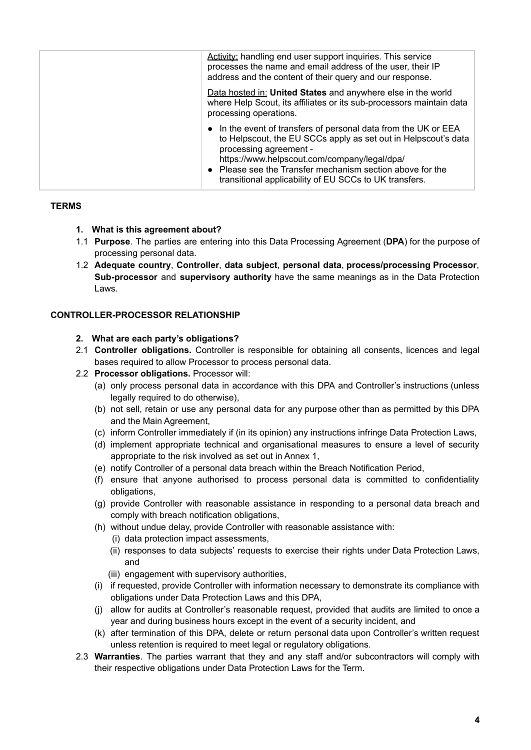|  | Activity: handling end user support inquiries. This service<br>processes the name and email address of the user, their IP<br>address and the content of their query and our response.                                                                                                                                              |
|--|------------------------------------------------------------------------------------------------------------------------------------------------------------------------------------------------------------------------------------------------------------------------------------------------------------------------------------|
|  | Data hosted in: United States and anywhere else in the world<br>where Help Scout, its affiliates or its sub-processors maintain data<br>processing operations.                                                                                                                                                                     |
|  | • In the event of transfers of personal data from the UK or EEA<br>to Helpscout, the EU SCCs apply as set out in Helpscout's data<br>processing agreement -<br>https://www.helpscout.com/company/legal/dpa/<br>• Please see the Transfer mechanism section above for the<br>transitional applicability of EU SCCs to UK transfers. |

### **TERMS**

- **1. What is this agreement about?**
- 1.1 **Purpose**. The parties are entering into this Data Processing Agreement (**DPA**) for the purpose of processing personal data.
- 1.2 **Adequate country**, **Controller**, **data subject**, **personal data**, **process/processing Processor**, **Sub-processor** and **supervisory authority** have the same meanings as in the Data Protection Laws.

## **CONTROLLER-PROCESSOR RELATIONSHIP**

#### **2. What are each party's obligations?**

- 2.1 **Controller obligations.** Controller is responsible for obtaining all consents, licences and legal bases required to allow Processor to process personal data.
- 2.2 **Processor obligations.** Processor will:
	- (a) only process personal data in accordance with this DPA and Controller's instructions (unless legally required to do otherwise),
	- (b) not sell, retain or use any personal data for any purpose other than as permitted by this DPA and the Main Agreement,
	- (c) inform Controller immediately if (in its opinion) any instructions infringe Data Protection Laws,
	- (d) implement appropriate technical and organisational measures to ensure a level of security appropriate to the risk involved as set out in Annex 1,
	- (e) notify Controller of a personal data breach within the Breach Notification Period,
	- (f) ensure that anyone authorised to process personal data is committed to confidentiality obligations,
	- (g) provide Controller with reasonable assistance in responding to a personal data breach and comply with breach notification obligations,
	- (h) without undue delay, provide Controller with reasonable assistance with:
		- (i) data protection impact assessments,
		- (ii) responses to data subjects' requests to exercise their rights under Data Protection Laws, and
		- (iii) engagement with supervisory authorities,
	- (i) if requested, provide Controller with information necessary to demonstrate its compliance with obligations under Data Protection Laws and this DPA,
	- (j) allow for audits at Controller's reasonable request, provided that audits are limited to once a year and during business hours except in the event of a security incident, and
	- (k) after termination of this DPA, delete or return personal data upon Controller's written request unless retention is required to meet legal or regulatory obligations.
- 2.3 **Warranties**. The parties warrant that they and any staff and/or subcontractors will comply with their respective obligations under Data Protection Laws for the Term.